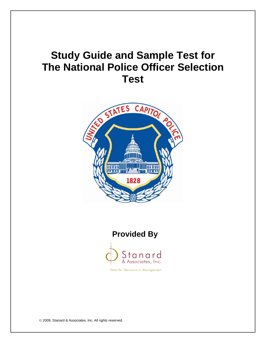# **Study Guide and Sample Test for The National Police Officer Selection Test**



## **Provided By**



Data for Decisions in Management

© 2009, Stanard & Associates, Inc. All rights reserved.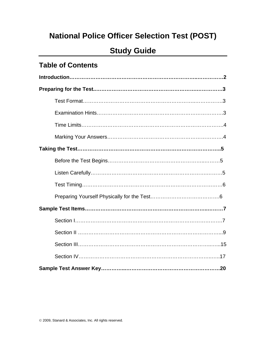# **National Police Officer Selection Test (POST)**

# **Study Guide**

## **Table of Contents**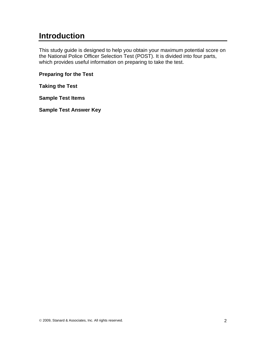# **Introduction**

This study guide is designed to help you obtain your maximum potential score on the National Police Officer Selection Test (POST). It is divided into four parts, which provides useful information on preparing to take the test.

**Preparing for the Test** 

**Taking the Test** 

**Sample Test Items** 

**Sample Test Answer Key**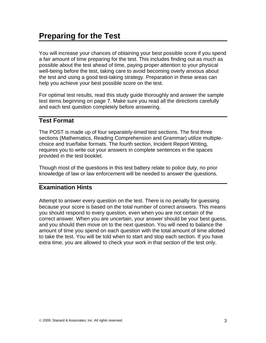You will increase your chances of obtaining your best possible score if you spend a fair amount of time preparing for the test. This includes finding out as much as possible about the test ahead of time, paying proper attention to your physical well-being before the test, taking care to avoid becoming overly anxious about the test and using a good test-taking strategy. Preparation in these areas can help you achieve your best possible score on the test.

For optimal test results, read this study guide thoroughly and answer the sample test items beginning on page 7. Make sure you read all the directions carefully and each test question completely before answering.

## **Test Format**

The POST is made up of four separately-timed test sections. The first three sections (Mathematics, Reading Comprehension and Grammar) utilize multiplechoice and true/false formats. The fourth section, Incident Report Writing, requires you to write out your answers in complete sentences in the spaces provided in the test booklet.

Though most of the questions in this test battery relate to police duty, no prior knowledge of law or law enforcement will be needed to answer the questions.

## **Examination Hints**

Attempt to answer every question on the test. There is no penalty for guessing because your score is based on the total number of correct answers. This means you should respond to every question, even when you are not certain of the correct answer. When you are uncertain, your answer should be your best guess, and you should then move on to the next question. You will need to balance the amount of time you spend on each question with the total amount of time allotted to take the test. You will be told when to start and stop each section. If you have extra time, you are allowed to check your work in that section of the test only.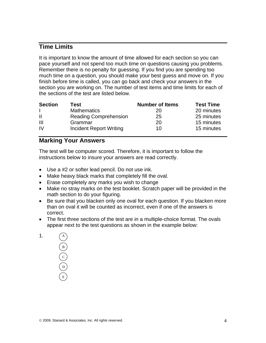### **Time Limits**

It is important to know the amount of time allowed for each section so you can pace yourself and not spend too much time on questions causing you problems. Remember there is no penalty for guessing. If you find you are spending too much time on a question, you should make your best guess and move on. If you finish before time is called, you can go back and check your answers in the section you are working on. The number of test items and time limits for each of the sections of the test are listed below.

| <b>Section</b> | Test                         | <b>Number of Items</b> | <b>Test Time</b> |
|----------------|------------------------------|------------------------|------------------|
|                | <b>Mathematics</b>           | 20                     | 20 minutes       |
| H              | <b>Reading Comprehension</b> | 25                     | 25 minutes       |
| $\mathbf{III}$ | Grammar                      | 20                     | 15 minutes       |
| IV             | Incident Report Writing      | 10                     | 15 minutes       |

## **Marking Your Answers**

The test will be computer scored. Therefore, it is important to follow the instructions below to insure your answers are read correctly.

- Use a #2 or softer lead pencil. Do not use ink.
- Make heavy black marks that completely fill the oval.
- Erase completely any marks you wish to change
- Make no stray marks on the test booklet. Scratch paper will be provided in the math section to do your figuring.
- Be sure that you blacken only one oval for each question. If you blacken more than on oval it will be counted as incorrect, even if one of the answers is correct.
- The first three sections of the test are in a multiple-choice format. The ovals appear next to the test questions as shown in the example below:

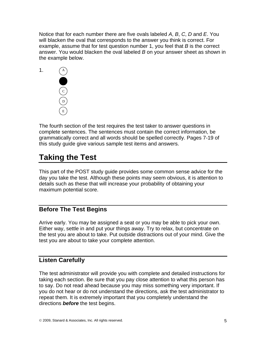Notice that for each number there are five ovals labeled *A*, *B*, *C*, *D* and *E*. You will blacken the oval that corresponds to the answer you think is correct. For example, assume that for test question number 1, you feel that *B* is the correct answer. You would blacken the oval labeled *B* on your answer sheet as shown in the example below.



The fourth section of the test requires the test taker to answer questions in complete sentences. The sentences must contain the correct information, be grammatically correct and all words should be spelled correctly. Pages 7-19 of this study guide give various sample test items and answers.

# **Taking the Test**

This part of the POST study guide provides some common sense advice for the day you take the test. Although these points may seem obvious, it is attention to details such as these that will increase your probability of obtaining your maximum potential score.

## **Before The Test Begins**

Arrive early. You may be assigned a seat or you may be able to pick your own. Either way, settle in and put your things away. Try to relax, but concentrate on the test you are about to take. Put outside distractions out of your mind. Give the test you are about to take your complete attention.

## **Listen Carefully**

The test administrator will provide you with complete and detailed instructions for taking each section. Be sure that you pay close attention to what this person has to say. Do not read ahead because you may miss something very important. If you do not hear or do not understand the directions, ask the test administrator to repeat them. It is extremely important that you completely understand the directions *before* the test begins.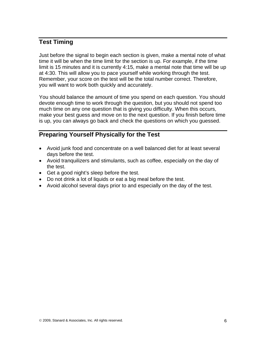## **Test Timing**

Just before the signal to begin each section is given, make a mental note of what time it will be when the time limit for the section is up. For example, if the time limit is 15 minutes and it is currently 4:15, make a mental note that time will be up at 4:30. This will allow you to pace yourself while working through the test. Remember, your score on the test will be the total number correct. Therefore, you will want to work both quickly and accurately.

You should balance the amount of time you spend on each question. You should devote enough time to work through the question, but you should not spend too much time on any one question that is giving you difficulty. When this occurs, make your best guess and move on to the next question. If you finish before time is up, you can always go back and check the questions on which you guessed.

## **Preparing Yourself Physically for the Test**

- Avoid junk food and concentrate on a well balanced diet for at least several days before the test.
- Avoid tranquilizers and stimulants, such as coffee, especially on the day of the test.
- Get a good night's sleep before the test.
- Do not drink a lot of liquids or eat a big meal before the test.
- Avoid alcohol several days prior to and especially on the day of the test.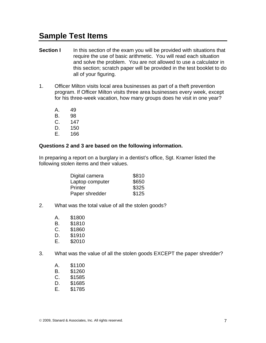# **Sample Test Items**

- **Section I** In this section of the exam you will be provided with situations that require the use of basic arithmetic. You will read each situation and solve the problem. You are not allowed to use a calculator in this section; scratch paper will be provided in the test booklet to do all of your figuring.
- 1. Officer Milton visits local area businesses as part of a theft prevention program. If Officer Milton visits three area businesses every week, except for his three-week vacation, how many groups does he visit in one year?
	- A. 49
	- B. 98
	- C. 147
	- D. 150
	- E. 166

#### **Questions 2 and 3 are based on the following information.**

In preparing a report on a burglary in a dentist's office, Sgt. Kramer listed the following stolen items and their values.

| Digital camera  | \$810 |
|-----------------|-------|
| Laptop computer | \$650 |
| Printer         | \$325 |
| Paper shredder  | \$125 |

- 2. What was the total value of all the stolen goods?
	- A. \$1800
	- B. \$1810
	- C. \$1860<br>D. \$1910
	- \$1910
	- E. \$2010
- 3. What was the value of all the stolen goods EXCEPT the paper shredder?
	- A. \$1100
	- B. \$1260
	- C. \$1585
	- D. \$1685
	- E. \$1785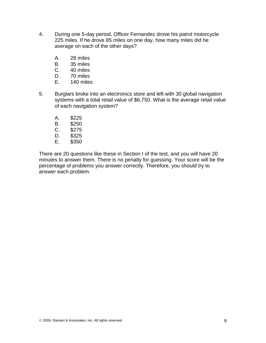- 4. During one 5-day period, Officer Fernandez drove his patrol motorcycle 225 miles. If he drove 85 miles on one day, how many miles did he average on each of the other days?
	- A. 28 miles
	- B. 35 miles
	- C. 40 miles
	- D. 70 miles
	- E. 140 miles
- 5. Burglars broke into an electronics store and left with 30 global navigation systems with a total retail value of \$6,750. What is the average retail value of each navigation system?
	- A. \$225
	- B. \$250
	- C. \$275
	- D. \$325
	- E. \$350

There are 20 questions like these in Section I of the test, and you will have 20 minutes to answer them. There is no penalty for guessing. Your score will be the percentage of problems you answer correctly. Therefore, you should try to answer each problem.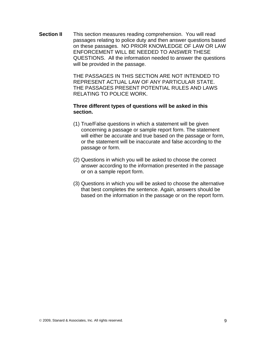**Section II** This section measures reading comprehension. You will read passages relating to police duty and then answer questions based on these passages. NO PRIOR KNOWLEDGE OF LAW OR LAW ENFORCEMENT WILL BE NEEDED TO ANSWER THESE QUESTIONS. All the information needed to answer the questions will be provided in the passage.

> THE PASSAGES IN THIS SECTION ARE NOT INTENDED TO REPRESENT ACTUAL LAW OF ANY PARTICULAR STATE. THE PASSAGES PRESENT POTENTIAL RULES AND LAWS RELATING TO POLICE WORK.

#### **Three different types of questions will be asked in this section.**

- (1) True/False questions in which a statement will be given concerning a passage or sample report form. The statement will either be accurate and true based on the passage or form, or the statement will be inaccurate and false according to the passage or form.
- (2) Questions in which you will be asked to choose the correct answer according to the information presented in the passage or on a sample report form.
- (3) Questions in which you will be asked to choose the alternative that best completes the sentence. Again, answers should be based on the information in the passage or on the report form.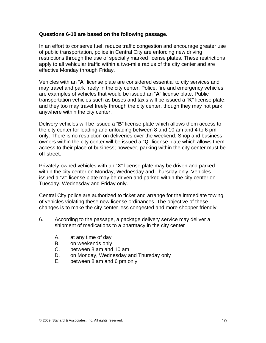#### **Questions 6-10 are based on the following passage.**

In an effort to conserve fuel, reduce traffic congestion and encourage greater use of public transportation, police in Central City are enforcing new driving restrictions through the use of specially marked license plates. These restrictions apply to all vehicular traffic within a two-mile radius of the city center and are effective Monday through Friday.

Vehicles with an "**A**" license plate are considered essential to city services and may travel and park freely in the city center. Police, fire and emergency vehicles are examples of vehicles that would be issued an "**A**" license plate. Public transportation vehicles such as buses and taxis will be issued a "**K**" license plate, and they too may travel freely through the city center, though they may not park anywhere within the city center.

Delivery vehicles will be issued a "**B**" license plate which allows them access to the city center for loading and unloading between 8 and 10 am and 4 to 6 pm only. There is no restriction on deliveries over the weekend. Shop and business owners within the city center will be issued a "**Q**" license plate which allows them access to their place of business; however, parking within the city center must be off-street.

Privately-owned vehicles with an "**X**" license plate may be driven and parked within the city center on Monday, Wednesday and Thursday only. Vehicles issued a "**Z"** license plate may be driven and parked within the city center on Tuesday, Wednesday and Friday only.

Central City police are authorized to ticket and arrange for the immediate towing of vehicles violating these new license ordinances. The objective of these changes is to make the city center less congested and more shopper-friendly.

- 6. According to the passage, a package delivery service may deliver a shipment of medications to a pharmacy in the city center
	- A. at any time of day
	- B. on weekends only
	- C. between 8 am and 10 am
	- D. on Monday, Wednesday and Thursday only
	- E. between 8 am and 6 pm only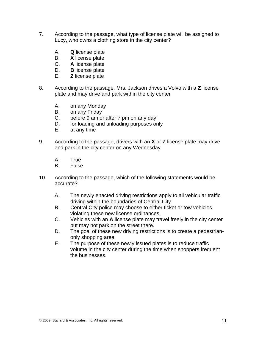- 7. According to the passage, what type of license plate will be assigned to Lucy, who owns a clothing store in the city center?
	- A. **Q** license plate
	- B. **X** license plate
	- C. **A** license plate
	- D. **B** license plate
	- E. **Z** license plate
- 8. According to the passage, Mrs. Jackson drives a Volvo with a **Z** license plate and may drive and park within the city center
	- A. on any Monday
	- B. on any Friday
	- C. before 9 am or after 7 pm on any day
	- D. for loading and unloading purposes only
	- E. at any time
- 9. According to the passage, drivers with an **X** or **Z** license plate may drive and park in the city center on any Wednesday.
	- A. True
	- B. False
- 10. According to the passage, which of the following statements would be accurate?
	- A. The newly enacted driving restrictions apply to all vehicular traffic driving within the boundaries of Central City.
	- B. Central City police may choose to either ticket or tow vehicles violating these new license ordinances.
	- C. Vehicles with an **A** license plate may travel freely in the city center but may not park on the street there.
	- D. The goal of these new driving restrictions is to create a pedestrianonly shopping area.
	- E. The purpose of these newly issued plates is to reduce traffic volume in the city center during the time when shoppers frequent the businesses.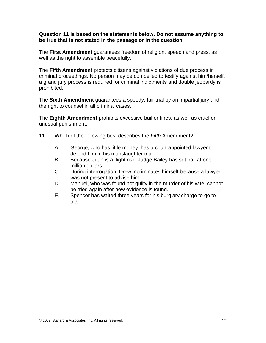#### **Question 11 is based on the statements below. Do not assume anything to be true that is not stated in the passage or in the question.**

The **First Amendment** guarantees freedom of religion, speech and press, as well as the right to assemble peacefully.

The **Fifth Amendment** protects citizens against violations of due process in criminal proceedings. No person may be compelled to testify against him/herself, a grand jury process is required for criminal indictments and double jeopardy is prohibited.

The **Sixth Amendment** guarantees a speedy, fair trial by an impartial jury and the right to counsel in all criminal cases.

The **Eighth Amendment** prohibits excessive bail or fines, as well as cruel or unusual punishment.

- 11. Which of the following best describes the *Fifth* Amendment?
	- A. George, who has little money, has a court-appointed lawyer to defend him in his manslaughter trial.
	- B. Because Juan is a flight risk, Judge Bailey has set bail at one million dollars.
	- C. During interrogation, Drew incriminates himself because a lawyer was not present to advise him.
	- D. Manuel, who was found not guilty in the murder of his wife, cannot be tried again after new evidence is found.
	- E. Spencer has waited three years for his burglary charge to go to trial.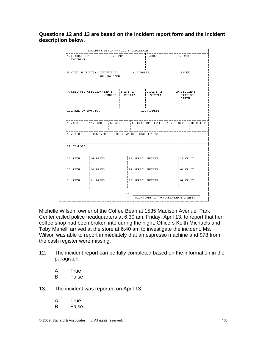**Questions 12 and 13 are based on the incident report form and the incident description below.** 

|                                                            | INCIDENT REPORT--POLICE DEPARTMENT |           |  |                   |                               |                                   |        |                                 |              |  |
|------------------------------------------------------------|------------------------------------|-----------|--|-------------------|-------------------------------|-----------------------------------|--------|---------------------------------|--------------|--|
| 1.ADDRESS OF<br>INCIDENT                                   |                                    | 2.OFFENSE |  | 3.CODE            |                               |                                   | 4.DATE |                                 |              |  |
| 5. NAME OF VICTIM: INDIVIDUAL                              | OR BUSINESS                        | 6.ADDRESS |  |                   |                               | PHONE                             |        |                                 |              |  |
| 7.ASSIGNED OFFICERS/BADGE<br>NUMBERS   VICTIM              |                                    |           |  | 8.AGE OF          |                               | $\vert$ 9. RACE OF<br>I VICTIM    |        | 10.VICTIM'S<br>DATE OF<br>BIRTH |              |  |
| 12.ADDRESS<br>11. NAME OF SUSPECT                          |                                    |           |  |                   |                               |                                   |        |                                 |              |  |
| 13.AGE                                                     | $14.$ RACE $15.$ SEX               |           |  |                   | 16.DATE OF BIRTH<br>17.HEIGHT |                                   |        |                                 | $18.$ WEIGHT |  |
| 19. HAIR $\frac{1}{20}$ . EYES<br>21. PHYSICAL DESCRIPTION |                                    |           |  |                   |                               |                                   |        |                                 |              |  |
| 22. CHARGES                                                |                                    |           |  |                   |                               |                                   |        |                                 |              |  |
| 23.ITEM                                                    | $ 24.$ BRAND                       |           |  | 25.SERIAL NUMBER  |                               |                                   |        | $126.$ VALUE                    |              |  |
| 27.ITEM                                                    | $ 28.$ BRAND                       |           |  | 129.SERIAL NUMBER |                               |                                   |        |                                 | 130.VALUE    |  |
|                                                            | 31.ITEM 132.BRAND                  |           |  | '33.SERIAL NUMBER |                               |                                   |        | !34.VALUE                       |              |  |
|                                                            |                                    |           |  | 35.               |                               | SIGNATURE OF OFFICER/BADGE NUMBER |        |                                 |              |  |

Michelle Wilson, owner of the Coffee Bean at 1535 Madison Avenue, Park Center called police headquarters at 6:30 am, Friday, April 13, to report that her coffee shop had been broken into during the night. Officers Keith Michaels and Toby Manelli arrived at the store at 6:40 am to investigate the incident. Ms. Wilson was able to report immediately that an espresso machine and \$78 from the cash register were missing.

- 12. The incident report can be fully completed based on the information in the paragraph.
	- A. True
	- B. False
- 13. The incident was reported on April 13.
	- A. True
	- B. False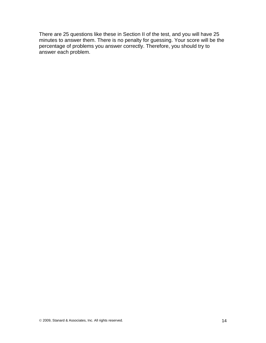There are 25 questions like these in Section II of the test, and you will have 25 minutes to answer them. There is no penalty for guessing. Your score will be the percentage of problems you answer correctly. Therefore, you should try to answer each problem.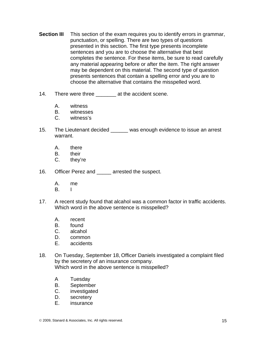- **Section III** This section of the exam requires you to identify errors in grammar, punctuation, or spelling. There are two types of questions presented in this section. The first type presents incomplete sentences and you are to choose the alternative that best completes the sentence. For these items, be sure to read carefully any material appearing before or after the item. The right answer may be dependent on this material. The second type of question presents sentences that contain a spelling error and you are to choose the alternative that contains the misspelled word.
- 14. There were three \_\_\_\_\_\_\_ at the accident scene.
	- A. witness
	- B. witnesses
	- C. witness's
- 15. The Lieutenant decided \_\_\_\_\_\_ was enough evidence to issue an arrest warrant.
	- A. there
	- B. their
	- C. they're
- 16. Officer Perez and arrested the suspect.
	- A. me
	- B. I
- 17. A recent study found that alcahol was a common factor in traffic accidents. Which word in the above sentence is misspelled?
	- A. recent
	- B. found
	- C. alcahol
	- D. common
	- E. accidents
- 18. On Tuesday, September 18, Officer Daniels investigated a complaint filed by the secretery of an insurance company. Which word in the above sentence is misspelled?
	- A Tuesday
	- B. September
	- C. investigated
	- D. secretery
	- E. insurance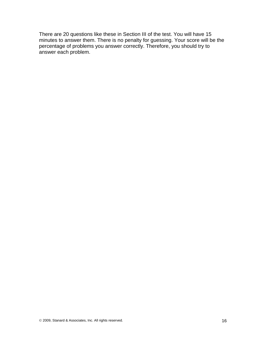There are 20 questions like these in Section III of the test. You will have 15 minutes to answer them. There is no penalty for guessing. Your score will be the percentage of problems you answer correctly. Therefore, you should try to answer each problem.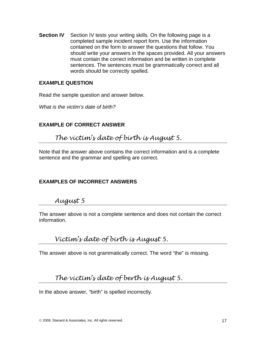**Section IV** Section IV tests your writing skills. On the following page is a completed sample incident report form. Use the information contained on the form to answer the questions that follow. You should write your answers in the spaces provided. All your answers must contain the correct information and be written in complete sentences. The sentences must be grammatically correct and all words should be correctly spelled.

#### **EXAMPLE QUESTION**

Read the sample question and answer below.

*What is the victim's date of birth?* 

### **EXAMPLE OF CORRECT ANSWER**

*The victim's date of birth is August 5.* 

Note that the answer above contains the correct information and is a complete sentence and the grammar and spelling are correct.

#### **EXAMPLES OF INCORRECT ANSWERS**

*August 5* 

The answer above is not a complete sentence and does not contain the correct information.

*Victim's date of birth is August 5.* 

The answer above is not grammatically correct. The word "the" is missing.

*The victim's date of berth is August 5.* 

In the above answer, "birth" is spelled incorrectly.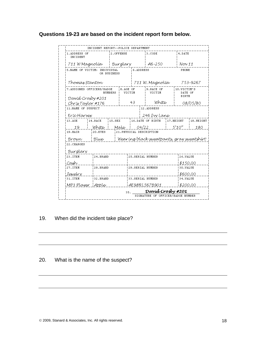|                                              | INCIDENT REPORT--POLICE DEPARTMENT                                  |             |  |           |                                           |                                   |  |                                        |            |  |
|----------------------------------------------|---------------------------------------------------------------------|-------------|--|-----------|-------------------------------------------|-----------------------------------|--|----------------------------------------|------------|--|
| INCIDENT                                     | 2. OFFENSE<br>1.ADDRESS OF                                          |             |  | 3.CODE    |                                           | 4.DATE                            |  |                                        |            |  |
|                                              | 711 W Magnolía — i Burglary -                                       |             |  |           |                                           | i A6-250                          |  |                                        | i Nov 11   |  |
| 5. NAME OF VICTIM: INDIVIDUAL                | OR BUSINESS                                                         |             |  | 6.ADDRESS |                                           |                                   |  | PHONE                                  |            |  |
| Thomas Stanton                               |                                                                     |             |  |           |                                           | 711 W. Magnolía                   |  | 753~9267                               |            |  |
| Davíd Crosby #201                            | 7.ASSIGNED OFFICERS/BADGE<br>8.AGE OF<br>NUMBERS                    |             |  |           |                                           | 9.RACE OF<br>VICTIM<br>VICTIM     |  | 10.VICTIM'S<br>DATE OF<br><b>BIRTH</b> |            |  |
| ChrixTavlor #176                             |                                                                     |             |  | 43.       |                                           | White                             |  | 08/05/80                               |            |  |
| 11.NAME OF SUSPECT                           |                                                                     |             |  |           |                                           | 12.ADDRESS                        |  |                                        |            |  |
| EricHarven                                   |                                                                     |             |  |           |                                           | –246 Ivv Lane                     |  |                                        |            |  |
| 13.AGE                                       | $!$ 14. RACE                                                        | $15.5$ $EX$ |  |           |                                           | 16. DATE OF BIRTH<br>$17.$ HEIGHT |  |                                        | 18. WEIGHT |  |
| 19.                                          | White 1                                                             | Male        |  |           | 04/22                                     |                                   |  | 5'10''                                 | 180        |  |
| <b>19. HATR</b>                              |                                                                     | 20.EYES     |  |           | 21. PHYSICAL DESCRIPTION                  |                                   |  |                                        |            |  |
| Brown                                        | ¦Blue                                                               |             |  |           | Wearing black sweatpants, gray sweatshirt |                                   |  |                                        |            |  |
| 22.CHARGES                                   |                                                                     |             |  |           |                                           |                                   |  |                                        |            |  |
| Burglary<br>23.ITEM                          | 24. BRAND                                                           |             |  |           |                                           |                                   |  | 26.VALUE                               |            |  |
|                                              |                                                                     |             |  |           | 25.SERIAL NUMBER                          |                                   |  |                                        |            |  |
| Cash<br>27.ITEM                              |                                                                     | 28.BRAND    |  |           | 129.SERIAL NUMBER                         |                                   |  | \$150.00<br>30.VALUE                   |            |  |
| Jewelry                                      |                                                                     |             |  |           |                                           |                                   |  | \$600.00                               |            |  |
| 31.ITEM                                      | 132.BRAND                                                           |             |  |           | 33.SERIAL NUMBER                          |                                   |  |                                        | 34.VALUE   |  |
| MP3 Player ¦Apple<br><u>i AE98RL567B901.</u> |                                                                     |             |  |           |                                           |                                   |  | \$200.00                               |            |  |
|                                              | David Crosby #201<br>35.<br>SIGNATURE<br>OFFICER/BADGE NUMBER<br>OF |             |  |           |                                           |                                   |  |                                        |            |  |

### **Questions 19-23 are based on the incident report form below.**

#### 19. When did the incident take place?

#### 20. What is the name of the suspect?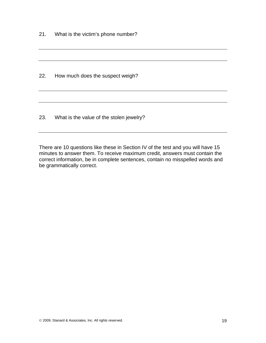21. What is the victim's phone number?

22. How much does the suspect weigh?

23. What is the value of the stolen jewelry?

There are 10 questions like these in Section IV of the test and you will have 15 minutes to answer them. To receive maximum credit, answers must contain the correct information, be in complete sentences, contain no misspelled words and be grammatically correct.